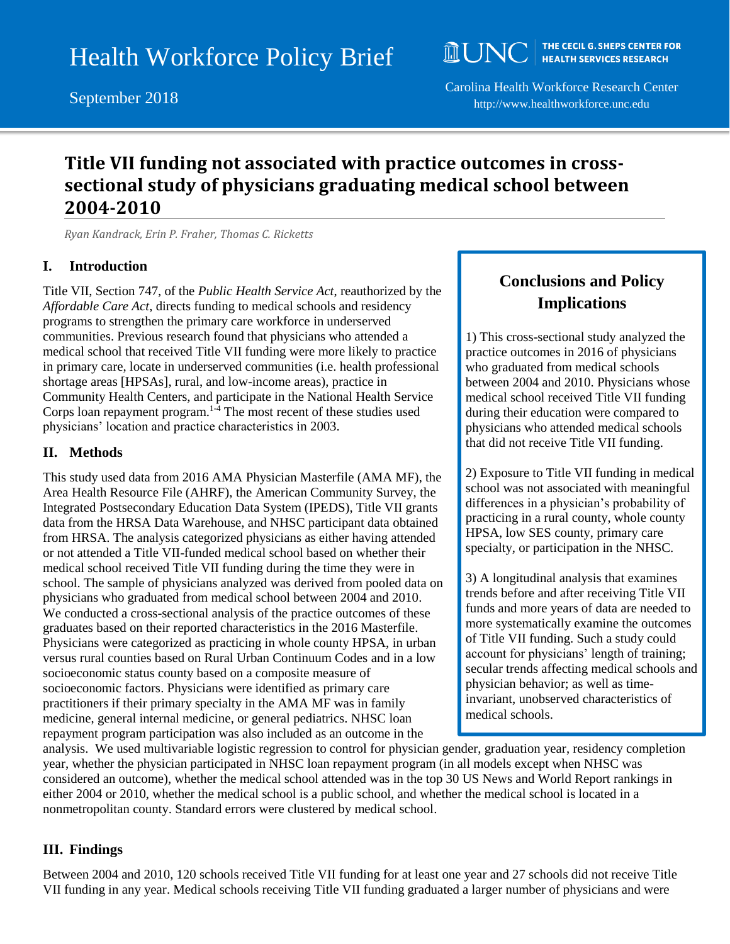September 2018

Carolina Health Workforce Research Center http://www.healthworkforce.unc.edu

**MUNC** 

THE CECIL G. SHEPS CENTER FOR

**HEALTH SERVICES RESEARCH** 

# **Title VII funding not associated with practice outcomes in crosssectional study of physicians graduating medical school between 2004-2010**

*Ryan Kandrack, Erin P. Fraher, Thomas C. Ricketts*

### **I. Introduction**

Title VII, Section 747, of the *Public Health Service Act*, reauthorized by the *Affordable Care Act*, directs funding to medical schools and residency programs to strengthen the primary care workforce in underserved communities. Previous research found that physicians who attended a medical school that received Title VII funding were more likely to practice in primary care, locate in underserved communities (i.e. health professional shortage areas [HPSAs], rural, and low-income areas), practice in Community Health Centers, and participate in the National Health Service Corps loan repayment program.<sup>1-4</sup> The most recent of these studies used physicians' location and practice characteristics in 2003.

### **II. Methods**

This study used data from 2016 AMA Physician Masterfile (AMA MF), the Area Health Resource File (AHRF), the American Community Survey, the Integrated Postsecondary Education Data System (IPEDS), Title VII grants data from the HRSA Data Warehouse, and NHSC participant data obtained from HRSA. The analysis categorized physicians as either having attended or not attended a Title VII-funded medical school based on whether their medical school received Title VII funding during the time they were in school. The sample of physicians analyzed was derived from pooled data on physicians who graduated from medical school between 2004 and 2010. We conducted a cross-sectional analysis of the practice outcomes of these graduates based on their reported characteristics in the 2016 Masterfile. Physicians were categorized as practicing in whole county HPSA, in urban versus rural counties based on Rural Urban Continuum Codes and in a low socioeconomic status county based on a composite measure of socioeconomic factors. Physicians were identified as primary care practitioners if their primary specialty in the AMA MF was in family medicine, general internal medicine, or general pediatrics. NHSC loan repayment program participation was also included as an outcome in the

# **Conclusions and Policy Implications**

1) This cross-sectional study analyzed the practice outcomes in 2016 of physicians who graduated from medical schools between 2004 and 2010. Physicians whose medical school received Title VII funding during their education were compared to physicians who attended medical schools that did not receive Title VII funding.

2) Exposure to Title VII funding in medical school was not associated with meaningful differences in a physician's probability of practicing in a rural county, whole county HPSA, low SES county, primary care specialty, or participation in the NHSC.

3) A longitudinal analysis that examines trends before and after receiving Title VII funds and more years of data are needed to more systematically examine the outcomes of Title VII funding. Such a study could account for physicians' length of training; secular trends affecting medical schools and physician behavior; as well as timeinvariant, unobserved characteristics of medical schools.

analysis. We used multivariable logistic regression to control for physician gender, graduation year, residency completion year, whether the physician participated in NHSC loan repayment program (in all models except when NHSC was considered an outcome), whether the medical school attended was in the top 30 US News and World Report rankings in either 2004 or 2010, whether the medical school is a public school, and whether the medical school is located in a nonmetropolitan county. Standard errors were clustered by medical school.

#### **III. Findings**

Between 2004 and 2010, 120 schools received Title VII funding for at least one year and 27 schools did not receive Title VII funding in any year. Medical schools receiving Title VII funding graduated a larger number of physicians and were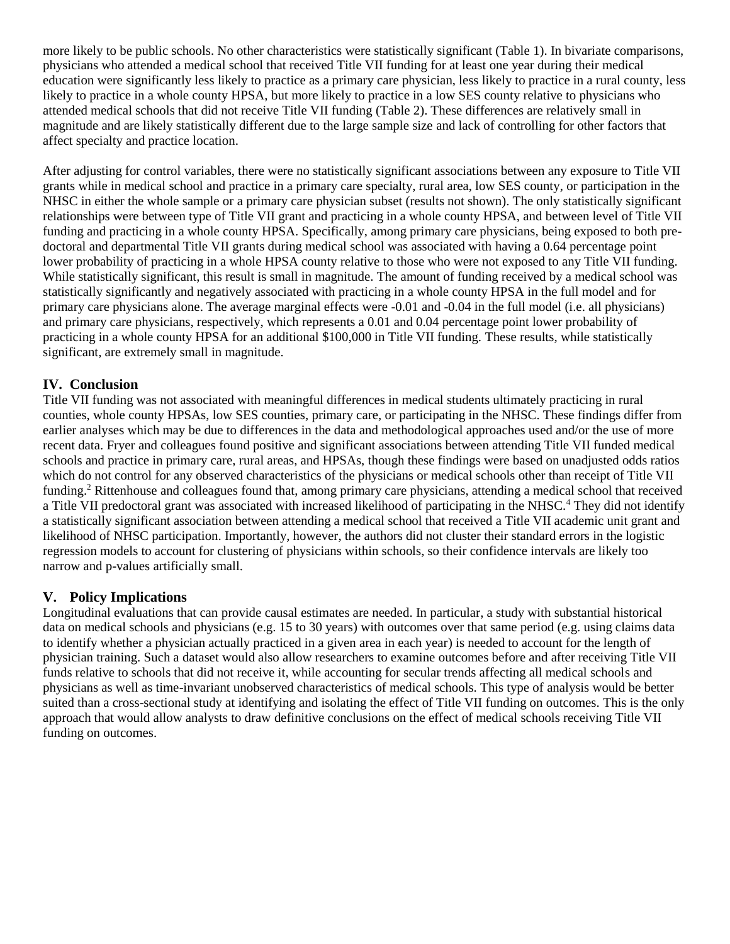more likely to be public schools. No other characteristics were statistically significant (Table 1). In bivariate comparisons, physicians who attended a medical school that received Title VII funding for at least one year during their medical education were significantly less likely to practice as a primary care physician, less likely to practice in a rural county, less likely to practice in a whole county HPSA, but more likely to practice in a low SES county relative to physicians who attended medical schools that did not receive Title VII funding (Table 2). These differences are relatively small in magnitude and are likely statistically different due to the large sample size and lack of controlling for other factors that affect specialty and practice location.

After adjusting for control variables, there were no statistically significant associations between any exposure to Title VII grants while in medical school and practice in a primary care specialty, rural area, low SES county, or participation in the NHSC in either the whole sample or a primary care physician subset (results not shown). The only statistically significant relationships were between type of Title VII grant and practicing in a whole county HPSA, and between level of Title VII funding and practicing in a whole county HPSA. Specifically, among primary care physicians, being exposed to both predoctoral and departmental Title VII grants during medical school was associated with having a 0.64 percentage point lower probability of practicing in a whole HPSA county relative to those who were not exposed to any Title VII funding. While statistically significant, this result is small in magnitude. The amount of funding received by a medical school was statistically significantly and negatively associated with practicing in a whole county HPSA in the full model and for primary care physicians alone. The average marginal effects were -0.01 and -0.04 in the full model (i.e. all physicians) and primary care physicians, respectively, which represents a 0.01 and 0.04 percentage point lower probability of practicing in a whole county HPSA for an additional \$100,000 in Title VII funding. These results, while statistically significant, are extremely small in magnitude.

## **IV. Conclusion**

Title VII funding was not associated with meaningful differences in medical students ultimately practicing in rural counties, whole county HPSAs, low SES counties, primary care, or participating in the NHSC. These findings differ from earlier analyses which may be due to differences in the data and methodological approaches used and/or the use of more recent data. Fryer and colleagues found positive and significant associations between attending Title VII funded medical schools and practice in primary care, rural areas, and HPSAs, though these findings were based on unadjusted odds ratios which do not control for any observed characteristics of the physicians or medical schools other than receipt of Title VII funding. <sup>2</sup> Rittenhouse and colleagues found that, among primary care physicians, attending a medical school that received a Title VII predoctoral grant was associated with increased likelihood of participating in the NHSC.<sup>4</sup> They did not identify a statistically significant association between attending a medical school that received a Title VII academic unit grant and likelihood of NHSC participation. Importantly, however, the authors did not cluster their standard errors in the logistic regression models to account for clustering of physicians within schools, so their confidence intervals are likely too narrow and p-values artificially small.

# **V. Policy Implications**

Longitudinal evaluations that can provide causal estimates are needed. In particular, a study with substantial historical data on medical schools and physicians (e.g. 15 to 30 years) with outcomes over that same period (e.g. using claims data to identify whether a physician actually practiced in a given area in each year) is needed to account for the length of physician training. Such a dataset would also allow researchers to examine outcomes before and after receiving Title VII funds relative to schools that did not receive it, while accounting for secular trends affecting all medical schools and physicians as well as time-invariant unobserved characteristics of medical schools. This type of analysis would be better suited than a cross-sectional study at identifying and isolating the effect of Title VII funding on outcomes. This is the only approach that would allow analysts to draw definitive conclusions on the effect of medical schools receiving Title VII funding on outcomes.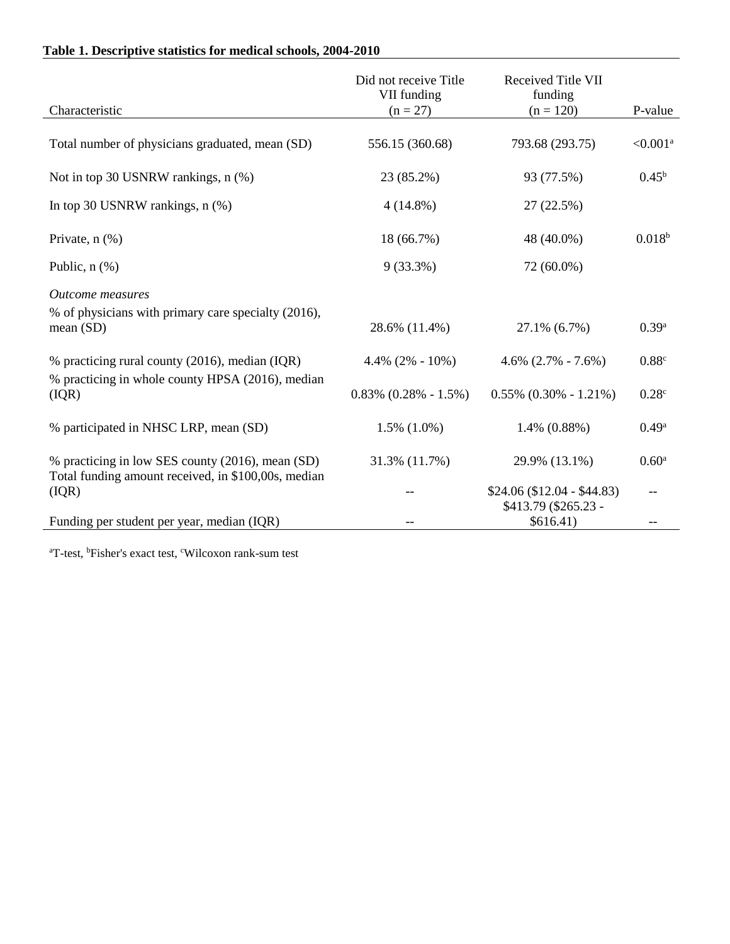# **Table 1. Descriptive statistics for medical schools, 2004-2010**

| Characteristic                                                                                          | Did not receive Title<br>VII funding<br>$(n = 27)$ | Received Title VII<br>funding<br>$(n = 120)$       | P-value           |
|---------------------------------------------------------------------------------------------------------|----------------------------------------------------|----------------------------------------------------|-------------------|
|                                                                                                         |                                                    |                                                    |                   |
| Total number of physicians graduated, mean (SD)                                                         | 556.15 (360.68)                                    | 793.68 (293.75)                                    | $< 0.001^a$       |
| Not in top 30 USNRW rankings, n (%)                                                                     | 23 (85.2%)                                         | 93 (77.5%)                                         | $0.45^{\rm b}$    |
| In top 30 USNRW rankings, n (%)                                                                         | $4(14.8\%)$                                        | 27 (22.5%)                                         |                   |
| Private, $n$ $(\%)$                                                                                     | 18 (66.7%)                                         | 48 (40.0%)                                         | $0.018^{b}$       |
| Public, $n$ $(\%)$                                                                                      | $9(33.3\%)$                                        | 72 (60.0%)                                         |                   |
| <i><b>Outcome measures</b></i>                                                                          |                                                    |                                                    |                   |
| % of physicians with primary care specialty (2016),<br>mean(SD)                                         | 28.6% (11.4%)                                      | 27.1% (6.7%)                                       | $0.39^{a}$        |
| % practicing rural county (2016), median (IQR)                                                          | $4.4\%$ (2% - 10%)                                 | $4.6\%$ $(2.7\% - 7.6\%)$                          | 0.88c             |
| % practicing in whole county HPSA (2016), median<br>(IQR)                                               | $0.83\%$ $(0.28\% - 1.5\%)$                        | $0.55\%$ $(0.30\% - 1.21\%)$                       | 0.28 <sup>c</sup> |
| % participated in NHSC LRP, mean (SD)                                                                   | $1.5\%$ $(1.0\%)$                                  | $1.4\%$ $(0.88\%)$                                 | $0.49^{\rm a}$    |
| % practicing in low SES county (2016), mean (SD)<br>Total funding amount received, in \$100,00s, median | 31.3% (11.7%)                                      | 29.9% (13.1%)                                      | 0.60 <sup>a</sup> |
| (IQR)                                                                                                   |                                                    | $$24.06 ($12.04 - $44.83)$<br>\$413.79 (\$265.23 - |                   |
| Funding per student per year, median (IQR)                                                              |                                                    | \$616.41)                                          |                   |

<sup>a</sup>T-test, <sup>b</sup>Fisher's exact test, <sup>c</sup>Wilcoxon rank-sum test